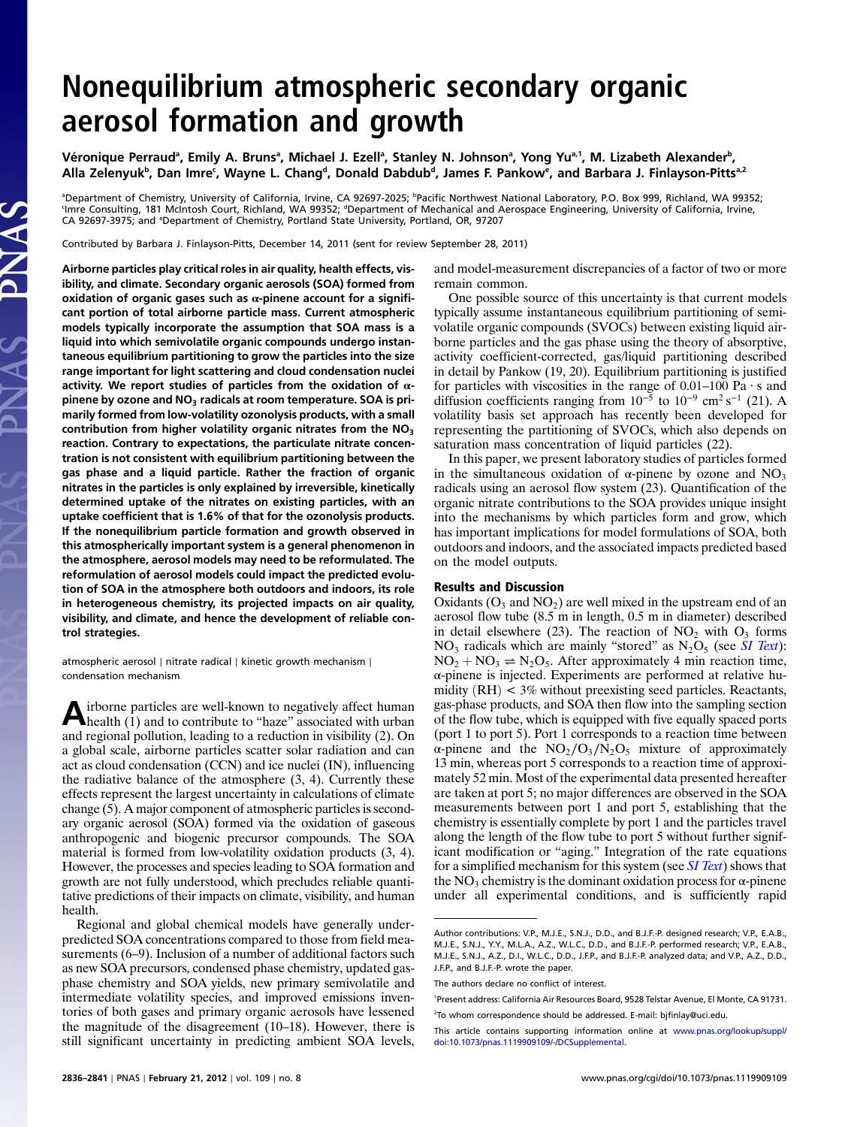## Nonequilibrium atmospheric secondary organic aerosol formation and growth

Véronique Perraudª, Emily A. Brunsª, Michael J. Ezellª, Stanley N. Johnsonª, Yong Yuª.1, M. Lizabeth Alexander<sup>b</sup>, Alla Zelenyuk<sup>b</sup>, Dan Imreʿ, Wayne L. Changª, Donald Dabdubª, James F. Pankow®, and Barbara J. Finlayson-Pittsª<sup>2</sup>

<sup>a</sup>Department of Chemistry, University of California, Irvine, CA 92697-2025; <sup>b</sup>Pacific Northwest National Laboratory, P.O. Box 999, Richland, WA 99352; 'Imre Consulting, 181 McIntosh Court, Richland, WA 99352; <sup>d</sup>Department of Mechanical and Aerospace Engineering, University of California, Irvine, CA 92697-3975; and <sup>e</sup>Department of Chemistry, Portland State University, Portland, OR, 97207

Contributed by Barbara J. Finlayson-Pitts, December 14, 2011 (sent for review September 28, 2011)

Airborne particles play critical roles in air quality, health effects, visibility, and climate. Secondary organic aerosols (SOA) formed from oxidation of organic gases such as  $α$ -pinene account for a significant portion of total airborne particle mass. Current atmospheric models typically incorporate the assumption that SOA mass is a liquid into which semivolatile organic compounds undergo instantaneous equilibrium partitioning to grow the particles into the size range important for light scattering and cloud condensation nuclei activity. We report studies of particles from the oxidation of  $\alpha$ pinene by ozone and  $NO<sub>3</sub>$  radicals at room temperature. SOA is primarily formed from low-volatility ozonolysis products, with a small contribution from higher volatility organic nitrates from the  $NO<sub>3</sub>$ reaction. Contrary to expectations, the particulate nitrate concentration is not consistent with equilibrium partitioning between the gas phase and a liquid particle. Rather the fraction of organic nitrates in the particles is only explained by irreversible, kinetically determined uptake of the nitrates on existing particles, with an uptake coefficient that is 1.6% of that for the ozonolysis products. If the nonequilibrium particle formation and growth observed in this atmospherically important system is a general phenomenon in the atmosphere, aerosol models may need to be reformulated. The reformulation of aerosol models could impact the predicted evolution of SOA in the atmosphere both outdoors and indoors, its role in heterogeneous chemistry, its projected impacts on air quality, visibility, and climate, and hence the development of reliable control strategies.

atmospheric aerosol ∣ nitrate radical ∣ kinetic growth mechanism ∣ condensation mechanism

Airborne particles are well-known to negatively affect human<br>health (1) and to contribute to "haze" associated with urban and regional pollution, leading to a reduction in visibility (2). On a global scale, airborne particles scatter solar radiation and can act as cloud condensation (CCN) and ice nuclei (IN), influencing the radiative balance of the atmosphere (3, 4). Currently these effects represent the largest uncertainty in calculations of climate change (5). A major component of atmospheric particles is secondary organic aerosol (SOA) formed via the oxidation of gaseous anthropogenic and biogenic precursor compounds. The SOA material is formed from low-volatility oxidation products (3, 4). However, the processes and species leading to SOA formation and growth are not fully understood, which precludes reliable quantitative predictions of their impacts on climate, visibility, and human health.

Regional and global chemical models have generally underpredicted SOA concentrations compared to those from field measurements (6–9). Inclusion of a number of additional factors such as new SOA precursors, condensed phase chemistry, updated gasphase chemistry and SOA yields, new primary semivolatile and intermediate volatility species, and improved emissions inventories of both gases and primary organic aerosols have lessened the magnitude of the disagreement (10–18). However, there is still significant uncertainty in predicting ambient SOA levels,

and model-measurement discrepancies of a factor of two or more remain common.

One possible source of this uncertainty is that current models typically assume instantaneous equilibrium partitioning of semivolatile organic compounds (SVOCs) between existing liquid airborne particles and the gas phase using the theory of absorptive, activity coefficient-corrected, gas/liquid partitioning described in detail by Pankow (19, 20). Equilibrium partitioning is justified for particles with viscosities in the range of  $0.01-100$  Pa  $\cdot$  s and diffusion coefficients ranging from  $10^{-5}$  to  $10^{-9}$  cm<sup>2</sup> s<sup>-1</sup> (21). A volatility basis set approach has recently been developed for representing the partitioning of SVOCs, which also depends on saturation mass concentration of liquid particles (22).

In this paper, we present laboratory studies of particles formed in the simultaneous oxidation of  $\alpha$ -pinene by ozone and NO<sub>3</sub> radicals using an aerosol flow system (23). Quantification of the organic nitrate contributions to the SOA provides unique insight into the mechanisms by which particles form and grow, which has important implications for model formulations of SOA, both outdoors and indoors, and the associated impacts predicted based on the model outputs.

## Results and Discussion

Oxidants  $(O_3$  and  $NO_2)$  are well mixed in the upstream end of an aerosol flow tube (8.5 m in length, 0.5 m in diameter) described in detail elsewhere (23). The reaction of  $NO<sub>2</sub>$  with  $O<sub>3</sub>$  forms  $NO<sub>3</sub>$  radicals which are mainly "stored" as  $N<sub>2</sub>O<sub>5</sub>$  (see [SI Text](http://www.pnas.org/lookup/suppl/doi:10.1073/pnas.1119909109/-/DCSupplemental/pnas.1119909109_SI.pdf?targetid=STXT)):  $NO<sub>2</sub> + NO<sub>3</sub> \rightleftharpoons N<sub>2</sub>O<sub>5</sub>$ . After approximately 4 min reaction time, α-pinene is injected. Experiments are performed at relative humidity  $(RH) < 3\%$  without preexisting seed particles. Reactants, gas-phase products, and SOA then flow into the sampling section of the flow tube, which is equipped with five equally spaced ports (port 1 to port 5). Port 1 corresponds to a reaction time between α-pinene and the  $NO_2/O_3/N_2O_5$  mixture of approximately 13 min, whereas port 5 corresponds to a reaction time of approximately 52 min. Most of the experimental data presented hereafter are taken at port 5; no major differences are observed in the SOA measurements between port 1 and port 5, establishing that the chemistry is essentially complete by port 1 and the particles travel along the length of the flow tube to port 5 without further significant modification or "aging." Integration of the rate equations for a simplified mechanism for this system (see *[SI Text](http://www.pnas.org/lookup/suppl/doi:10.1073/pnas.1119909109/-/DCSupplemental/pnas.1119909109_SI.pdf?targetid=STXT)*) shows that the  $NO<sub>3</sub>$  chemistry is the dominant oxidation process for  $\alpha$ -pinene under all experimental conditions, and is sufficiently rapid

Author contributions: V.P., M.J.E., S.N.J., D.D., and B.J.F.-P. designed research; V.P., E.A.B., M.J.E., S.N.J., Y.Y., M.L.A., A.Z., W.L.C., D.D., and B.J.F.-P. performed research; V.P., E.A.B., M.J.E., S.N.J., A.Z., D.I., W.L.C., D.D., J.F.P., and B.J.F.-P. analyzed data; and V.P., A.Z., D.D., J.F.P., and B.J.F.-P. wrote the paper.

The authors declare no conflict of interest.

<sup>1</sup> Present address: California Air Resources Board, 9528 Telstar Avenue, El Monte, CA 91731.

<sup>2</sup> To whom correspondence should be addressed. E-mail: bjfinlay@uci.edu.

This article contains supporting information online at [www.pnas.org/lookup/suppl/](http://www.pnas.org/lookup/suppl/doi:10.1073/pnas.1119909109/-/DCSupplemental) [doi:10.1073/pnas.1119909109/-/DCSupplemental.](http://www.pnas.org/lookup/suppl/doi:10.1073/pnas.1119909109/-/DCSupplemental)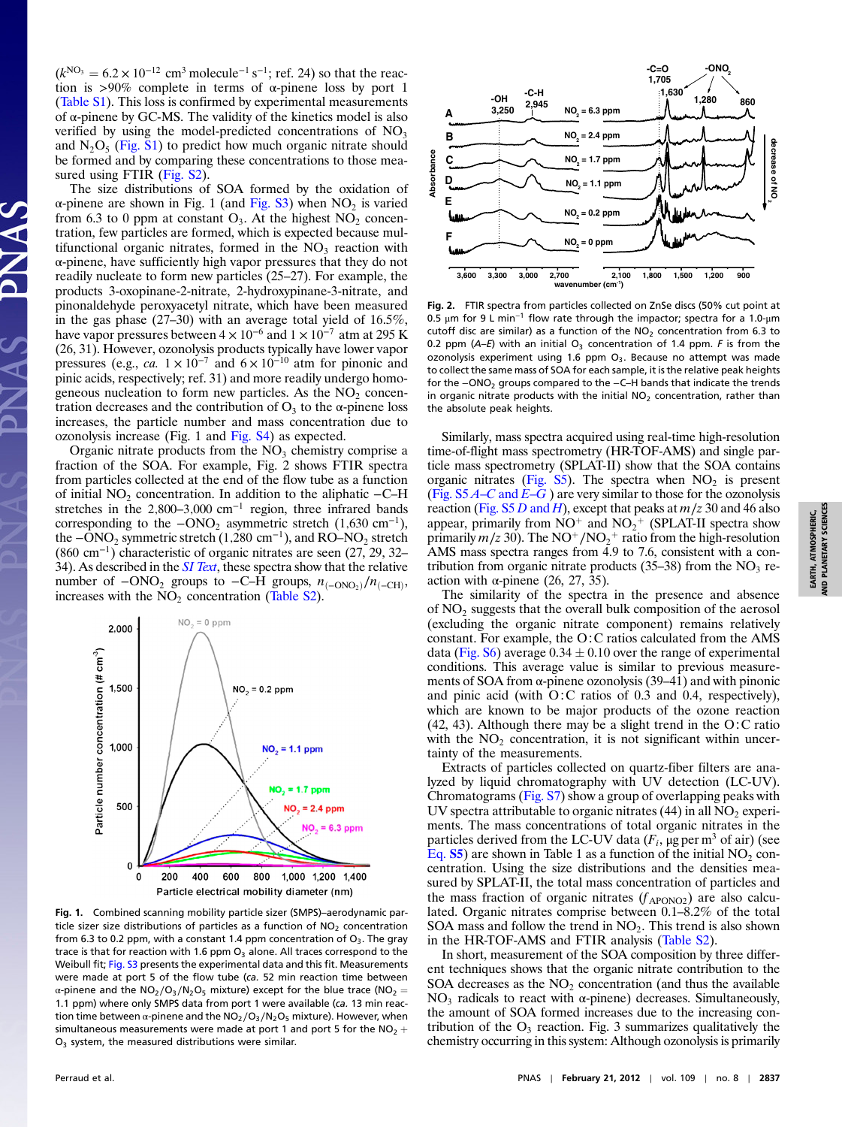$(k^{NO_3} = 6.2 \times 10^{-12}$  cm<sup>3</sup> molecule<sup>-1</sup> s<sup>-1</sup>; ref. 24) so that the reaction is >90% complete in terms of  $\alpha$ -pinene loss by port 1 ([Table S1\)](http://www.pnas.org/lookup/suppl/doi:10.1073/pnas.1119909109/-/DCSupplemental/pnas.1119909109_SI.pdf?targetid=ST1). This loss is confirmed by experimental measurements of  $\alpha$ -pinene by GC-MS. The validity of the kinetics model is also verified by using the model-predicted concentrations of  $NO<sub>3</sub>$ and  $N_2O_5$  [\(Fig. S1\)](http://www.pnas.org/lookup/suppl/doi:10.1073/pnas.1119909109/-/DCSupplemental/pnas.1119909109_SI.pdf?targetid=SF1) to predict how much organic nitrate should be formed and by comparing these concentrations to those mea-sured using FTIR [\(Fig. S2](http://www.pnas.org/lookup/suppl/doi:10.1073/pnas.1119909109/-/DCSupplemental/pnas.1119909109_SI.pdf?targetid=SF2)).

The size distributions of SOA formed by the oxidation of α-pinene are shown in Fig. 1 (and [Fig. S3\)](http://www.pnas.org/lookup/suppl/doi:10.1073/pnas.1119909109/-/DCSupplemental/pnas.1119909109_SI.pdf?targetid=SF3) when  $NO<sub>2</sub>$  is varied from 6.3 to 0 ppm at constant  $O_3$ . At the highest  $NO_2$  concentration, few particles are formed, which is expected because multifunctional organic nitrates, formed in the  $NO<sub>3</sub>$  reaction with α-pinene, have sufficiently high vapor pressures that they do not readily nucleate to form new particles (25–27). For example, the products 3-oxopinane-2-nitrate, 2-hydroxypinane-3-nitrate, and pinonaldehyde peroxyacetyl nitrate, which have been measured in the gas phase (27–30) with an average total yield of 16.5%, have vapor pressures between  $4 \times 10^{-6}$  and  $1 \times 10^{-7}$  atm at 295 K (26, 31). However, ozonolysis products typically have lower vapor pressures (e.g., ca.  $1 \times 10^{-7}$  and  $6 \times 10^{-10}$  atm for pinonic and pinic acids, respectively; ref. 31) and more readily undergo homogeneous nucleation to form new particles. As the  $NO<sub>2</sub>$  concentration decreases and the contribution of  $O_3$  to the  $\alpha$ -pinene loss increases, the particle number and mass concentration due to ozonolysis increase (Fig. 1 and [Fig. S4](http://www.pnas.org/lookup/suppl/doi:10.1073/pnas.1119909109/-/DCSupplemental/pnas.1119909109_SI.pdf?targetid=SF4)) as expected.

Organic nitrate products from the  $NO<sub>3</sub>$  chemistry comprise a fraction of the SOA. For example, Fig. 2 shows FTIR spectra from particles collected at the end of the flow tube as a function of initial  $NO<sub>2</sub>$  concentration. In addition to the aliphatic  $-C-H$ stretches in the  $2,800-3,000$  cm<sup>-1</sup> region, three infrared bands corresponding to the  $-\text{ONO}_2$  asymmetric stretch (1,630 cm<sup>-1</sup>), the  $-\overline{O}NO_2$  symmetric stretch (1,280 cm<sup>-1</sup>), and RO–NO<sub>2</sub> stretch (<sup>860</sup> cm<sup>−</sup><sup>1</sup>) characteristic of organic nitrates are seen (27, 29, 32– 34). As described in the  $SI$  Text, these spectra show that the relative number of  $-\text{ONO}_2$  groups to  $-\text{C}-\text{H}$  groups,  $n_{(-\text{ONO}_2)}/n_{(-\text{CH})}$ , increases with the  $NO<sub>2</sub>$  concentration ([Table S2\)](http://www.pnas.org/lookup/suppl/doi:10.1073/pnas.1119909109/-/DCSupplemental/pnas.1119909109_SI.pdf?targetid=ST2).



Fig. 1. Combined scanning mobility particle sizer (SMPS)–aerodynamic particle sizer size distributions of particles as a function of  $NO<sub>2</sub>$  concentration from 6.3 to 0.2 ppm, with a constant 1.4 ppm concentration of  $O_3$ . The gray trace is that for reaction with 1.6 ppm  $O<sub>3</sub>$  alone. All traces correspond to the Weibull fit; [Fig. S3](http://www.pnas.org/lookup/suppl/doi:10.1073/pnas.1119909109/-/DCSupplemental/pnas.1119909109_SI.pdf?targetid=SF3) presents the experimental data and this fit. Measurements were made at port 5 of the flow tube (ca. 52 min reaction time between α-pinene and the NO<sub>2</sub>/O<sub>3</sub>/N<sub>2</sub>O<sub>5</sub> mixture) except for the blue trace (NO<sub>2</sub> = 1.1 ppm) where only SMPS data from port 1 were available (ca. 13 min reaction time between α-pinene and the  $NO<sub>2</sub>/O<sub>3</sub>/N<sub>2</sub>O<sub>5</sub>$  mixture). However, when simultaneous measurements were made at port 1 and port 5 for the  $NO<sub>2</sub>$  +  $O<sub>3</sub>$  system, the measured distributions were similar.



Fig. 2. FTIR spectra from particles collected on ZnSe discs (50% cut point at 0.5 μm for 9 L min<sup>−</sup><sup>1</sup> flow rate through the impactor; spectra for a 1.0-μm cutoff disc are similar) as a function of the  $NO<sub>2</sub>$  concentration from 6.3 to 0.2 ppm (A-E) with an initial  $O_3$  concentration of 1.4 ppm. F is from the ozonolysis experiment using 1.6 ppm  $O_3$ . Because no attempt was made to collect the same mass of SOA for each sample, it is the relative peak heights for the −ONO<sup>2</sup> groups compared to the −C–H bands that indicate the trends in organic nitrate products with the initial  $NO<sub>2</sub>$  concentration, rather than the absolute peak heights.

Similarly, mass spectra acquired using real-time high-resolution time-of-flight mass spectrometry (HR-TOF-AMS) and single particle mass spectrometry (SPLAT-II) show that the SOA contains organic nitrates ([Fig. S5](http://www.pnas.org/lookup/suppl/doi:10.1073/pnas.1119909109/-/DCSupplemental/pnas.1119909109_SI.pdf?targetid=SF5)). The spectra when  $NO<sub>2</sub>$  is present (Fig.  $S5A-C$  and  $E-G$ ) are very similar to those for the ozonolysis reaction ([Fig. S5](http://www.pnas.org/lookup/suppl/doi:10.1073/pnas.1119909109/-/DCSupplemental/pnas.1119909109_SI.pdf?targetid=SF5) D and H), except that peaks at  $m/z$  30 and 46 also appear, primarily from  $NO^+$  and  $NO_2^+$  (SPLAT-II spectra show primarily  $m/z$  30). The NO<sup>+</sup>/NO<sub>2</sub><sup>+</sup> ratio from the high-resolution AMS mass spectra ranges from 4.9 to 7.6, consistent with a contribution from organic nitrate products (35–38) from the  $NO<sub>3</sub>$  reaction with  $\alpha$ -pinene (26, 27, 35).

The similarity of the spectra in the presence and absence of  $NO<sub>2</sub>$  suggests that the overall bulk composition of the aerosol (excluding the organic nitrate component) remains relatively constant. For example, the O∶C ratios calculated from the AMS data ([Fig. S6\)](http://www.pnas.org/lookup/suppl/doi:10.1073/pnas.1119909109/-/DCSupplemental/pnas.1119909109_SI.pdf?targetid=SF6) average  $0.34 \pm 0.10$  over the range of experimental conditions. This average value is similar to previous measurements of SOA from  $\alpha$ -pinene ozonolysis (39–41) and with pinonic and pinic acid (with O∶C ratios of 0.3 and 0.4, respectively), which are known to be major products of the ozone reaction (42, 43). Although there may be a slight trend in the O∶C ratio with the  $NO<sub>2</sub>$  concentration, it is not significant within uncertainty of the measurements.

Extracts of particles collected on quartz-fiber filters are analyzed by liquid chromatography with UV detection (LC-UV). Chromatograms ([Fig. S7](http://www.pnas.org/lookup/suppl/doi:10.1073/pnas.1119909109/-/DCSupplemental/pnas.1119909109_SI.pdf?targetid=SF7)) show a group of overlapping peaks with UV spectra attributable to organic nitrates  $(44)$  in all NO<sub>2</sub> experiments. The mass concentrations of total organic nitrates in the particles derived from the LC-UV data  $(F_i, \mu g$  per m<sup>3</sup> of air) (see [Eq.](http://www.pnas.org/lookup/suppl/doi:10.1073/pnas.1119909109/-/DCSupplemental/pnas.1119909109_SI.pdf?targetid=STXT)  $S5$ ) are shown in Table 1 as a function of the initial  $NO<sub>2</sub>$  concentration. Using the size distributions and the densities measured by SPLAT-II, the total mass concentration of particles and the mass fraction of organic nitrates  $(f_{\text{APONO2}})$  are also calculated. Organic nitrates comprise between 0.1–8.2% of the total SOA mass and follow the trend in  $NO<sub>2</sub>$ . This trend is also shown in the HR-TOF-AMS and FTIR analysis [\(Table S2](http://www.pnas.org/lookup/suppl/doi:10.1073/pnas.1119909109/-/DCSupplemental/pnas.1119909109_SI.pdf?targetid=ST2)).

In short, measurement of the SOA composition by three different techniques shows that the organic nitrate contribution to the SOA decreases as the  $NO<sub>2</sub>$  concentration (and thus the available NO<sub>3</sub> radicals to react with  $\alpha$ -pinene) decreases. Simultaneously, the amount of SOA formed increases due to the increasing contribution of the  $O_3$  reaction. Fig. 3 summarizes qualitatively the chemistry occurring in this system: Although ozonolysis is primarily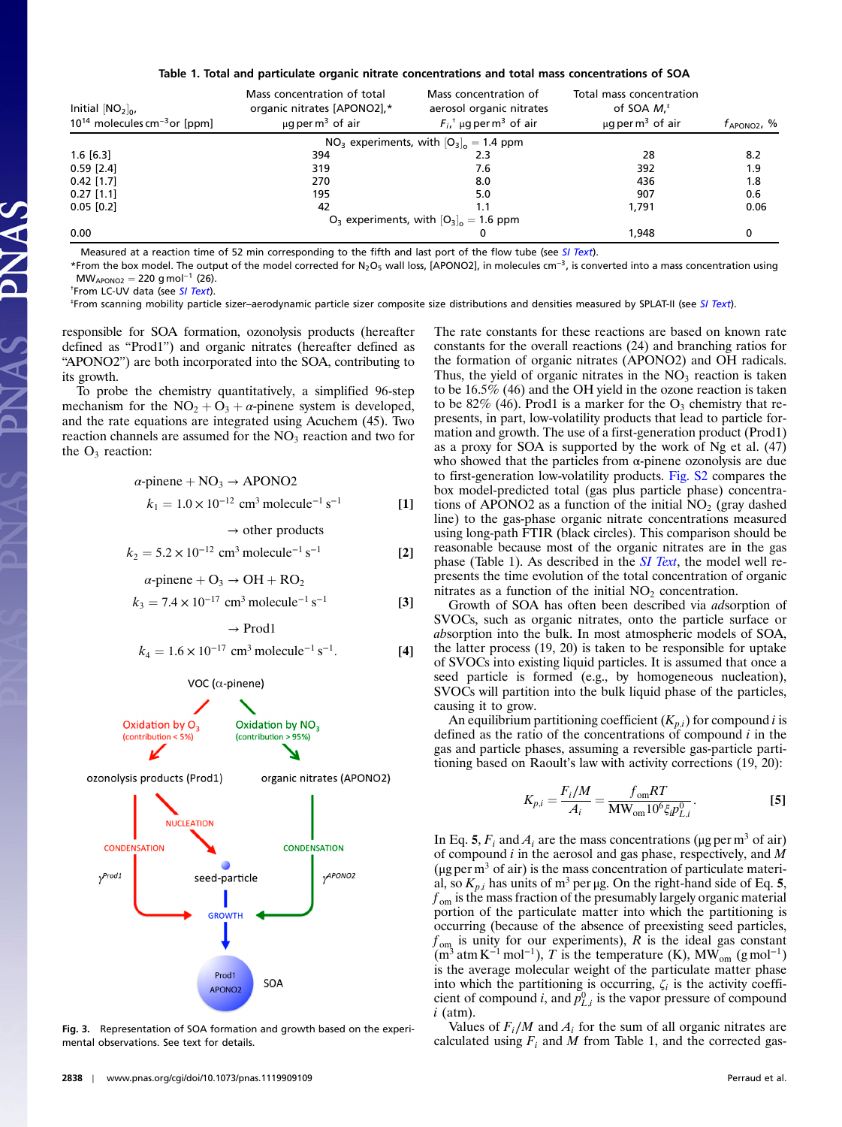## Table 1. Total and particulate organic nitrate concentrations and total mass concentrations of SOA

| Initial $[NO_2]_0$ ,<br>$10^{14}$ molecules cm <sup>-3</sup> or [ppm] | Mass concentration of total<br>organic nitrates [APONO2],*<br>$\mu$ q per m <sup>3</sup> of air | Mass concentration of<br>aerosol organic nitrates<br>$F_{i}$ <sup>+</sup> µg per m <sup>3</sup> of air | Total mass concentration<br>of SOA $M*$<br>$\mu$ q per m <sup>3</sup> of air | $f_{\text{APONO2}}$ , % |
|-----------------------------------------------------------------------|-------------------------------------------------------------------------------------------------|--------------------------------------------------------------------------------------------------------|------------------------------------------------------------------------------|-------------------------|
|                                                                       |                                                                                                 | $NO3$ experiments, with $[O3]_{o} = 1.4$ ppm                                                           |                                                                              |                         |
| $1.6$ [6.3]                                                           | 394                                                                                             | 2.3                                                                                                    | 28                                                                           | 8.2                     |
| $0.59$ [2.4]                                                          | 319                                                                                             | 7.6                                                                                                    | 392                                                                          | 1.9                     |
| $0.42$ [1.7]                                                          | 270                                                                                             | 8.0                                                                                                    | 436                                                                          | 1.8                     |
| $0.27$ [1.1]                                                          | 195                                                                                             | 5.0                                                                                                    | 907                                                                          | 0.6                     |
| $0.05$ [0.2]                                                          | 42                                                                                              |                                                                                                        | 1.791                                                                        | 0.06                    |
|                                                                       |                                                                                                 | $O_3$ experiments, with $[O_3]_0 = 1.6$ ppm                                                            |                                                                              |                         |
| 0.00                                                                  |                                                                                                 |                                                                                                        | 1.948                                                                        | 0                       |

Measured at a reaction time of 52 min corresponding to the fifth and last port of the flow tube (see [SI Text](http://www.pnas.org/lookup/suppl/doi:10.1073/pnas.1119909109/-/DCSupplemental/pnas.1119909109_SI.pdf?targetid=STXT)).

\*From the box model. The output of the model corrected for N<sub>2</sub>O<sub>5</sub> wall loss, [APONO2], in molecules cm<sup>-3</sup>, is converted into a mass concentration using  $MW_{APONO2} = 220$  g mol<sup>-1</sup> (26).

<sup>†</sup>From LC-UV data (see [SI Text](http://www.pnas.org/lookup/suppl/doi:10.1073/pnas.1119909109/-/DCSupplemental/pnas.1119909109_SI.pdf?targetid=STXT)).

‡ From scanning mobility particle sizer–aerodynamic particle sizer composite size distributions and densities measured by SPLAT-II (see [SI Text](http://www.pnas.org/lookup/suppl/doi:10.1073/pnas.1119909109/-/DCSupplemental/pnas.1119909109_SI.pdf?targetid=STXT)).

responsible for SOA formation, ozonolysis products (hereafter defined as "Prod1") and organic nitrates (hereafter defined as "APONO2") are both incorporated into the SOA, contributing to its growth.

To probe the chemistry quantitatively, a simplified 96-step mechanism for the  $NO_2 + O_3 + \alpha$ -pinene system is developed, and the rate equations are integrated using Acuchem (45). Two reaction channels are assumed for the  $NO<sub>3</sub>$  reaction and two for the  $O_3$  reaction:

$$
\alpha\text{-prime} + \text{NO}_3 \rightarrow \text{APONO2}
$$
  
\n
$$
k_1 = 1.0 \times 10^{-12} \text{ cm}^3 \text{ molecule}^{-1} \text{ s}^{-1}
$$
 [1]

 $\rightarrow$  other products

$$
k_2 = 5.2 \times 10^{-12} \, \text{cm}^3 \, \text{molecule}^{-1} \, \text{s}^{-1} \tag{2}
$$

 $\alpha$ -pinene + O<sub>3</sub> → OH + RO<sub>2</sub>

$$
k_3 = 7.4 \times 10^{-17} \text{ cm}^3 \text{ molecule}^{-1} \text{ s}^{-1}
$$
 [3]

 $\rightarrow$  Prod1

$$
k_4 = 1.6 \times 10^{-17} \, \text{cm}^3 \, \text{molecule}^{-1} \, \text{s}^{-1}.
$$
 [4]

VOC ( $\alpha$ -pinene)



Fig. 3. Representation of SOA formation and growth based on the experimental observations. See text for details.

The rate constants for these reactions are based on known rate constants for the overall reactions (24) and branching ratios for the formation of organic nitrates (APONO2) and OH radicals. Thus, the yield of organic nitrates in the  $NO<sub>3</sub>$  reaction is taken to be 16.5% (46) and the OH yield in the ozone reaction is taken to be 82% (46). Prod1 is a marker for the  $O_3$  chemistry that represents, in part, low-volatility products that lead to particle formation and growth. The use of a first-generation product (Prod1) as a proxy for SOA is supported by the work of Ng et al. (47) who showed that the particles from  $\alpha$ -pinene ozonolysis are due to first-generation low-volatility products. [Fig. S2](http://www.pnas.org/lookup/suppl/doi:10.1073/pnas.1119909109/-/DCSupplemental/pnas.1119909109_SI.pdf?targetid=SF2) compares the box model-predicted total (gas plus particle phase) concentrations of APONO2 as a function of the initial  $NO<sub>2</sub>$  (gray dashed line) to the gas-phase organic nitrate concentrations measured using long-path FTIR (black circles). This comparison should be reasonable because most of the organic nitrates are in the gas phase (Table 1). As described in the  $SI$  Text, the model well represents the time evolution of the total concentration of organic nitrates as a function of the initial  $NO<sub>2</sub>$  concentration.

Growth of SOA has often been described via adsorption of SVOCs, such as organic nitrates, onto the particle surface or absorption into the bulk. In most atmospheric models of SOA, the latter process (19, 20) is taken to be responsible for uptake of SVOCs into existing liquid particles. It is assumed that once a seed particle is formed (e.g., by homogeneous nucleation), SVOCs will partition into the bulk liquid phase of the particles, causing it to grow.

An equilibrium partitioning coefficient  $(K_{p,i})$  for compound i is defined as the ratio of the concentrations of compound  $i$  in the gas and particle phases, assuming a reversible gas-particle partitioning based on Raoult's law with activity corrections (19, 20):

$$
K_{p,i} = \frac{F_i/M}{A_i} = \frac{f_{\text{om}}RT}{\text{MW}_{\text{om}}10^6 \xi_i p_{L,i}^0}.
$$
 [5]

In Eq. 5,  $F_i$  and  $A_i$  are the mass concentrations (μg per m<sup>3</sup> of air) of compound i in the aerosol and gas phase, respectively, and M ( $\mu$ g per m<sup>3</sup> of air) is the mass concentration of particulate material, so  $K_{p,i}$  has units of m<sup>3</sup> per μg. On the right-hand side of Eq. 5,  $f_{\text{om}}$  is the mass fraction of the presumably largely organic material portion of the particulate matter into which the partitioning is occurring (because of the absence of preexisting seed particles,  $f_{\text{om}}$  is unity for our experiments), R is the ideal gas constant  $(m^3 \text{ atm K}^{-1} \text{ mol}^{-1})$ , T is the temperature (K), MW<sub>om</sub> (g mol<sup>-1</sup>) is the average molecular weight of the particulate matter phase into which the partitioning is occurring,  $\zeta_i$  is the activity coefficient of compound *i*, and  $p_{L,i}^0$  is the vapor pressure of compound  $i$  (atm).

Values of  $F_i/M$  and  $A_i$  for the sum of all organic nitrates are calculated using  $F_i$  and M from Table 1, and the corrected gas-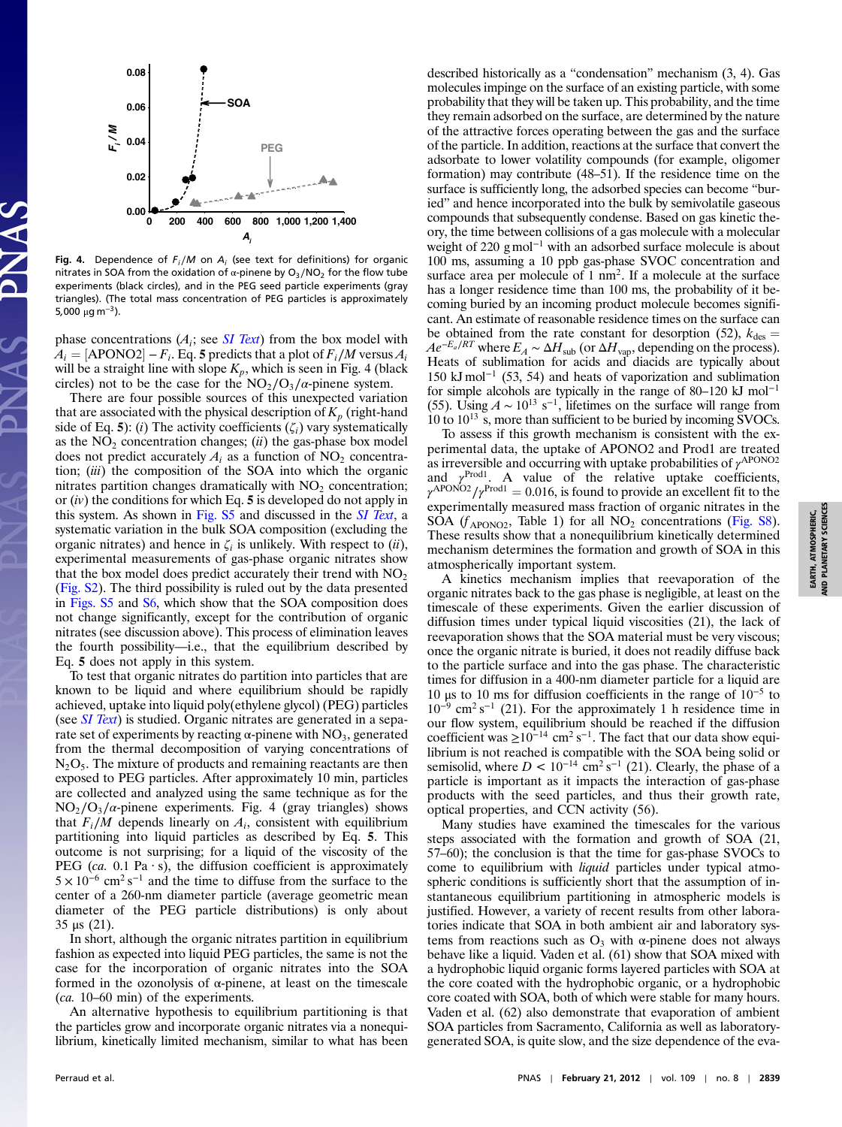

Fig. 4. Dependence of  $F_i/M$  on  $A_i$  (see text for definitions) for organic nitrates in SOA from the oxidation of  $\alpha$ -pinene by O<sub>3</sub>/NO<sub>2</sub> for the flow tube experiments (black circles), and in the PEG seed particle experiments (gray triangles). (The total mass concentration of PEG particles is approximately 5,000 μg m<sup>-3</sup>).

phase concentrations  $(A_i; \text{see } SI \text{ Text})$  from the box model with  $A_i =$  [APONO2] –  $F_i$ . Eq. 5 predicts that a plot of  $F_i/M$  versus  $A_i$ will be a straight line with slope  $K_p$ , which is seen in Fig. 4 (black circles) not to be the case for the  $NO_2/O_3/\alpha$ -pinene system.

There are four possible sources of this unexpected variation that are associated with the physical description of  $K_p$  (right-hand side of Eq. 5): (i) The activity coefficients  $(\zeta_i)$  vary systematically as the  $NO<sub>2</sub>$  concentration changes; (*ii*) the gas-phase box model does not predict accurately  $A_i$  as a function of NO<sub>2</sub> concentration; (iii) the composition of the SOA into which the organic nitrates partition changes dramatically with  $NO<sub>2</sub>$  concentration; or  $(iv)$  the conditions for which Eq. 5 is developed do not apply in this system. As shown in [Fig. S5](http://www.pnas.org/lookup/suppl/doi:10.1073/pnas.1119909109/-/DCSupplemental/pnas.1119909109_SI.pdf?targetid=SF5) and discussed in the [SI Text](http://www.pnas.org/lookup/suppl/doi:10.1073/pnas.1119909109/-/DCSupplemental/pnas.1119909109_SI.pdf?targetid=STXT), a systematic variation in the bulk SOA composition (excluding the organic nitrates) and hence in  $\zeta_i$  is unlikely. With respect to (ii), experimental measurements of gas-phase organic nitrates show that the box model does predict accurately their trend with  $NO<sub>2</sub>$ ([Fig. S2](http://www.pnas.org/lookup/suppl/doi:10.1073/pnas.1119909109/-/DCSupplemental/pnas.1119909109_SI.pdf?targetid=SF2)). The third possibility is ruled out by the data presented in [Figs. S5](http://www.pnas.org/lookup/suppl/doi:10.1073/pnas.1119909109/-/DCSupplemental/pnas.1119909109_SI.pdf?targetid=SF5) and [S6,](http://www.pnas.org/lookup/suppl/doi:10.1073/pnas.1119909109/-/DCSupplemental/pnas.1119909109_SI.pdf?targetid=SF6) which show that the SOA composition does not change significantly, except for the contribution of organic nitrates (see discussion above). This process of elimination leaves the fourth possibility—i.e., that the equilibrium described by Eq. 5 does not apply in this system.

To test that organic nitrates do partition into particles that are known to be liquid and where equilibrium should be rapidly achieved, uptake into liquid poly(ethylene glycol) (PEG) particles (see *[SI Text](http://www.pnas.org/lookup/suppl/doi:10.1073/pnas.1119909109/-/DCSupplemental/pnas.1119909109_SI.pdf?targetid=STXT)*) is studied. Organic nitrates are generated in a separate set of experiments by reacting  $\alpha$ -pinene with NO<sub>3</sub>, generated from the thermal decomposition of varying concentrations of  $N<sub>2</sub>O<sub>5</sub>$ . The mixture of products and remaining reactants are then exposed to PEG particles. After approximately 10 min, particles are collected and analyzed using the same technique as for the  $NO<sub>2</sub>/O<sub>3</sub>/\alpha$ -pinene experiments. Fig. 4 (gray triangles) shows that  $F_i/M$  depends linearly on  $A_i$ , consistent with equilibrium partitioning into liquid particles as described by Eq. 5. This outcome is not surprising; for a liquid of the viscosity of the PEG (ca. 0.1 Pa  $\cdot$  s), the diffusion coefficient is approximately  $5 \times 10^{-6}$  cm<sup>2</sup> s<sup>-1</sup> and the time to diffuse from the surface to the center of a 260-nm diameter particle (average geometric mean diameter of the PEG particle distributions) is only about 35 μs (21).

In short, although the organic nitrates partition in equilibrium fashion as expected into liquid PEG particles, the same is not the case for the incorporation of organic nitrates into the SOA formed in the ozonolysis of α-pinene, at least on the timescale (ca. <sup>10</sup>–60 min) of the experiments.

An alternative hypothesis to equilibrium partitioning is that the particles grow and incorporate organic nitrates via a nonequilibrium, kinetically limited mechanism, similar to what has been

described historically as a "condensation" mechanism (3, 4). Gas molecules impinge on the surface of an existing particle, with some probability that they will be taken up. This probability, and the time they remain adsorbed on the surface, are determined by the nature of the attractive forces operating between the gas and the surface of the particle. In addition, reactions at the surface that convert the adsorbate to lower volatility compounds (for example, oligomer formation) may contribute (48–51). If the residence time on the surface is sufficiently long, the adsorbed species can become "buried" and hence incorporated into the bulk by semivolatile gaseous compounds that subsequently condense. Based on gas kinetic theory, the time between collisions of a gas molecule with a molecular weight of 220 g mol<sup>-1</sup> with an adsorbed surface molecule is about 100 ms, assuming a 10 ppb gas-phase SVOC concentration and surface area per molecule of 1 nm<sup>2</sup>. If a molecule at the surface has a longer residence time than 100 ms, the probability of it becoming buried by an incoming product molecule becomes significant. An estimate of reasonable residence times on the surface can be obtained from the rate constant for desorption (52),  $k_{\text{des}} =$  $Ae^{-E_a/RT}$  where  $E_A \sim \Delta H_{sub}$  (or  $\Delta H_{vap}$ , depending on the process). Heats of sublimation for acids and diacids are typically about 150 kJ mol<sup>−</sup><sup>1</sup> (53, 54) and heats of vaporization and sublimation for simple alcohols are typically in the range of <sup>80</sup>–<sup>120</sup> kJ mol<sup>−</sup><sup>1</sup> (55). Using  $A \sim 10^{13}$  s<sup>-1</sup>, lifetimes on the surface will range from 10 to  $10^{13}$  s, more than sufficient to be buried by incoming SVOCs.

To assess if this growth mechanism is consistent with the experimental data, the uptake of APONO2 and Prod1 are treated as irreversible and occurring with uptake probabilities of  $\gamma^{\text{APONO2}}$ and  $\gamma^{\text{Prod}1}$ . A value of the relative uptake coefficients,  $\gamma^{\text{APONO2}}/\gamma^{\text{Prod1}} = 0.016$ , is found to provide an excellent fit to the experimentally measured mass fraction of organic nitrates in the SOA ( $f_{\text{APONO2}}$ , Table 1) for all NO<sub>2</sub> concentrations ([Fig. S8](http://www.pnas.org/lookup/suppl/doi:10.1073/pnas.1119909109/-/DCSupplemental/pnas.1119909109_SI.pdf?targetid=SF8)). These results show that a nonequilibrium kinetically determined mechanism determines the formation and growth of SOA in this atmospherically important system.

A kinetics mechanism implies that reevaporation of the organic nitrates back to the gas phase is negligible, at least on the timescale of these experiments. Given the earlier discussion of diffusion times under typical liquid viscosities (21), the lack of reevaporation shows that the SOA material must be very viscous; once the organic nitrate is buried, it does not readily diffuse back to the particle surface and into the gas phase. The characteristic times for diffusion in a 400-nm diameter particle for a liquid are 10 μs to 10 ms for diffusion coefficients in the range of  $10^{-5}$  to  $10^{-9}$  cm<sup>2</sup> s<sup>-1</sup> (21). For the approximately 1 h residence time in our flow system, equilibrium should be reached if the diffusion coefficient was  $\geq 10^{-14}$  cm<sup>2</sup> s<sup>-1</sup>. The fact that our data show equilibrium is not reached is compatible with the SOA being solid or semisolid, where  $D < 10^{-14}$  cm<sup>2</sup> s<sup>-1</sup> (21). Clearly, the phase of a particle is important as it impacts the interaction of gas-phase products with the seed particles, and thus their growth rate, optical properties, and CCN activity (56).

Many studies have examined the timescales for the various steps associated with the formation and growth of SOA (21, <sup>57</sup>–60); the conclusion is that the time for gas-phase SVOCs to come to equilibrium with liquid particles under typical atmospheric conditions is sufficiently short that the assumption of instantaneous equilibrium partitioning in atmospheric models is justified. However, a variety of recent results from other laboratories indicate that SOA in both ambient air and laboratory systems from reactions such as  $O_3$  with α-pinene does not always behave like a liquid. Vaden et al. (61) show that SOA mixed with a hydrophobic liquid organic forms layered particles with SOA at the core coated with the hydrophobic organic, or a hydrophobic core coated with SOA, both of which were stable for many hours. Vaden et al. (62) also demonstrate that evaporation of ambient SOA particles from Sacramento, California as well as laboratorygenerated SOA, is quite slow, and the size dependence of the eva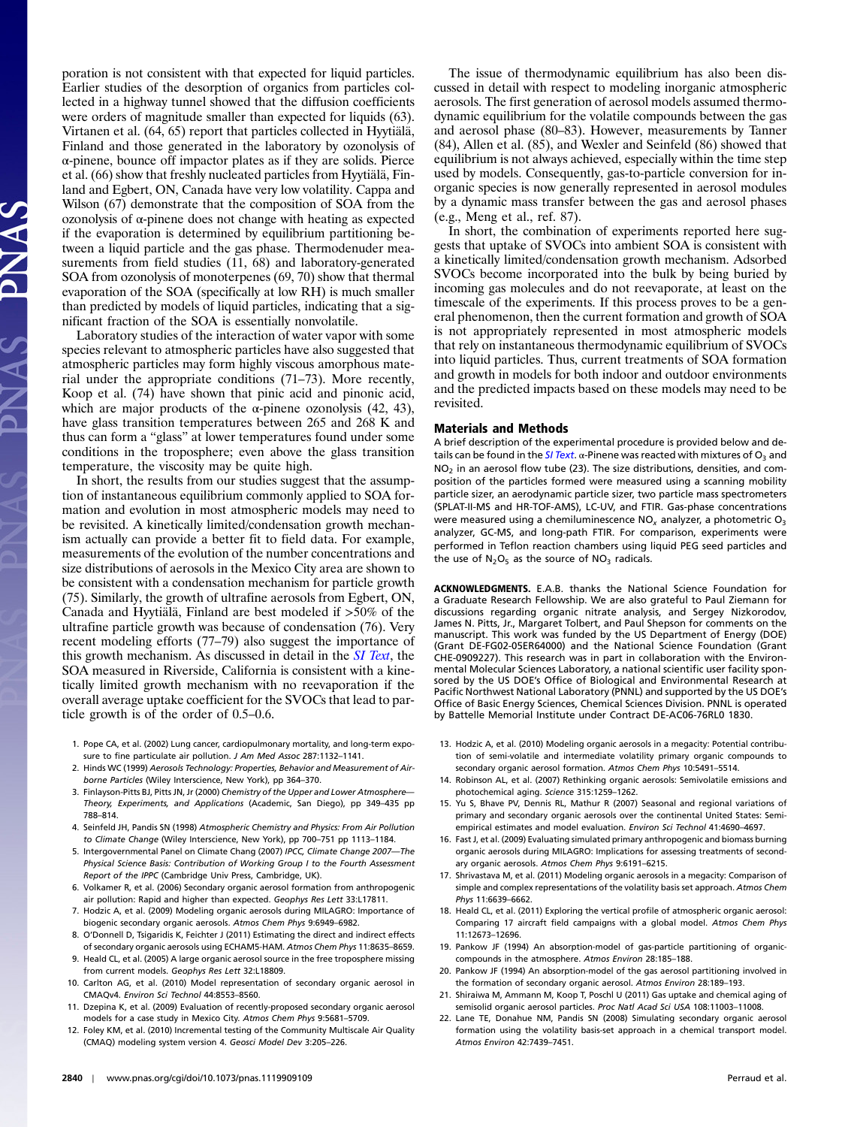poration is not consistent with that expected for liquid particles. Earlier studies of the desorption of organics from particles collected in a highway tunnel showed that the diffusion coefficients were orders of magnitude smaller than expected for liquids (63). Virtanen et al. (64, 65) report that particles collected in Hyytiälä, Finland and those generated in the laboratory by ozonolysis of α-pinene, bounce off impactor plates as if they are solids. Pierce et al. (66) show that freshly nucleated particles from Hyytiälä, Finland and Egbert, ON, Canada have very low volatility. Cappa and Wilson (67) demonstrate that the composition of SOA from the ozonolysis of α-pinene does not change with heating as expected if the evaporation is determined by equilibrium partitioning between a liquid particle and the gas phase. Thermodenuder measurements from field studies (11, 68) and laboratory-generated SOA from ozonolysis of monoterpenes (69, 70) show that thermal evaporation of the SOA (specifically at low RH) is much smaller than predicted by models of liquid particles, indicating that a significant fraction of the SOA is essentially nonvolatile.

Laboratory studies of the interaction of water vapor with some species relevant to atmospheric particles have also suggested that atmospheric particles may form highly viscous amorphous material under the appropriate conditions (71–73). More recently, Koop et al. (74) have shown that pinic acid and pinonic acid, which are major products of the  $\alpha$ -pinene ozonolysis (42, 43), have glass transition temperatures between 265 and 268 K and thus can form a "glass" at lower temperatures found under some conditions in the troposphere; even above the glass transition temperature, the viscosity may be quite high.

In short, the results from our studies suggest that the assumption of instantaneous equilibrium commonly applied to SOA formation and evolution in most atmospheric models may need to be revisited. A kinetically limited/condensation growth mechanism actually can provide a better fit to field data. For example, measurements of the evolution of the number concentrations and size distributions of aerosols in the Mexico City area are shown to be consistent with a condensation mechanism for particle growth (75). Similarly, the growth of ultrafine aerosols from Egbert, ON, Canada and Hyytiälä, Finland are best modeled if >50% of the ultrafine particle growth was because of condensation (76). Very recent modeling efforts (77–79) also suggest the importance of this growth mechanism. As discussed in detail in the *[SI Text](http://www.pnas.org/lookup/suppl/doi:10.1073/pnas.1119909109/-/DCSupplemental/pnas.1119909109_SI.pdf?targetid=STXT)*, the SOA measured in Riverside, California is consistent with a kinetically limited growth mechanism with no reevaporation if the overall average uptake coefficient for the SVOCs that lead to particle growth is of the order of 0.5–0.6.

- 1. Pope CA, et al. (2002) Lung cancer, cardiopulmonary mortality, and long-term exposure to fine particulate air pollution. J Am Med Assoc 287:1132–1141.
- 2. Hinds WC (1999) Aerosols Technology: Properties, Behavior and Measurement of Airborne Particles (Wiley Interscience, New York), pp 364–370.
- 3. Finlayson-Pitts BJ, Pitts JN, Jr (2000) Chemistry of the Upper and Lower Atmosphere— Theory, Experiments, and Applications (Academic, San Diego), pp 349–435 pp 788–814.
- . Seinfeld JH, Pandis SN (1998) Atmospheric Chemistry and Physics: From Air Pollution<br>16 to Climate Change (Wiley Interscience, New York), pp 700–751 pp 1113–1184.<br>5. Intergovernmental Panel on Climate Chang (2007) IPCC, C to Climate Change (Wiley Interscience, New York), pp 700–751 pp 1113–1184.
- Physical Science Basis: Contribution of Working Group I to the Fourth Assessment Report of the IPPC (Cambridge Univ Press, Cambridge, UK).
- 6. Volkamer R, et al. (2006) Secondary organic aerosol formation from anthropogenic air pollution: Rapid and higher than expected. Geophys Res Lett 33:L17811.
- 7. Hodzic A, et al. (2009) Modeling organic aerosols during MILAGRO: Importance of biogenic secondary organic aerosols. Atmos Chem Phys 9:6949–6982.
- 8. O'Donnell D, Tsigaridis K, Feichter J (2011) Estimating the direct and indirect effects of secondary organic aerosols using ECHAM5-HAM. Atmos Chem Phys 11:8635–8659.
- 9. Heald CL, et al. (2005) A large organic aerosol source in the free troposphere missing from current models. Geophys Res Lett 32:L18809.
- 10. Carlton AG, et al. (2010) Model representation of secondary organic aerosol in CMAQv4. Environ Sci Technol 44:8553–8560.
- 11. Dzepina K, et al. (2009) Evaluation of recently-proposed secondary organic aerosol models for a case study in Mexico City. Atmos Chem Phys 9:5681–5709.
- 12. Foley KM, et al. (2010) Incremental testing of the Community Multiscale Air Quality (CMAQ) modeling system version 4. Geosci Model Dev 3:205–226.

The issue of thermodynamic equilibrium has also been discussed in detail with respect to modeling inorganic atmospheric aerosols. The first generation of aerosol models assumed thermodynamic equilibrium for the volatile compounds between the gas and aerosol phase (80–83). However, measurements by Tanner (84), Allen et al. (85), and Wexler and Seinfeld (86) showed that equilibrium is not always achieved, especially within the time step used by models. Consequently, gas-to-particle conversion for inorganic species is now generally represented in aerosol modules by a dynamic mass transfer between the gas and aerosol phases (e.g., Meng et al., ref. 87).

In short, the combination of experiments reported here suggests that uptake of SVOCs into ambient SOA is consistent with a kinetically limited/condensation growth mechanism. Adsorbed SVOCs become incorporated into the bulk by being buried by incoming gas molecules and do not reevaporate, at least on the timescale of the experiments. If this process proves to be a general phenomenon, then the current formation and growth of SOA is not appropriately represented in most atmospheric models that rely on instantaneous thermodynamic equilibrium of SVOCs into liquid particles. Thus, current treatments of SOA formation and growth in models for both indoor and outdoor environments and the predicted impacts based on these models may need to be revisited.

## Materials and Methods

A brief description of the experimental procedure is provided below and de-tails can be found in the [SI Text](http://www.pnas.org/lookup/suppl/doi:10.1073/pnas.1119909109/-/DCSupplemental/pnas.1119909109_SI.pdf?targetid=STXT).  $\alpha$ -Pinene was reacted with mixtures of O<sub>2</sub> and  $NO<sub>2</sub>$  in an aerosol flow tube (23). The size distributions, densities, and composition of the particles formed were measured using a scanning mobility particle sizer, an aerodynamic particle sizer, two particle mass spectrometers (SPLAT-II-MS and HR-TOF-AMS), LC-UV, and FTIR. Gas-phase concentrations were measured using a chemiluminescence  $NO_x$  analyzer, a photometric  $O_3$ analyzer, GC-MS, and long-path FTIR. For comparison, experiments were performed in Teflon reaction chambers using liquid PEG seed particles and the use of  $N_2O_5$  as the source of  $NO_3$  radicals.

ACKNOWLEDGMENTS. E.A.B. thanks the National Science Foundation for a Graduate Research Fellowship. We are also grateful to Paul Ziemann for discussions regarding organic nitrate analysis, and Sergey Nizkorodov, James N. Pitts, Jr., Margaret Tolbert, and Paul Shepson for comments on the manuscript. This work was funded by the US Department of Energy (DOE) (Grant DE-FG02-05ER64000) and the National Science Foundation (Grant CHE-0909227). This research was in part in collaboration with the Environmental Molecular Sciences Laboratory, a national scientific user facility sponsored by the US DOE's Office of Biological and Environmental Research at Pacific Northwest National Laboratory (PNNL) and supported by the US DOE's Office of Basic Energy Sciences, Chemical Sciences Division. PNNL is operated by Battelle Memorial Institute under Contract DE-AC06-76RL0 1830.

- 13. Hodzic A, et al. (2010) Modeling organic aerosols in a megacity: Potential contribution of semi-volatile and intermediate volatility primary organic compounds to secondary organic aerosol formation. Atmos Chem Phys 10:5491–5514.
- 14. Robinson AL, et al. (2007) Rethinking organic aerosols: Semivolatile emissions and photochemical aging. Science 315:1259–1262.
- 15. Yu S, Bhave PV, Dennis RL, Mathur R (2007) Seasonal and regional variations of primary and secondary organic aerosols over the continental United States: Semiempirical estimates and model evaluation. Environ Sci Technol 41:4690–4697.
- 16. Fast J, et al. (2009) Evaluating simulated primary anthropogenic and biomass burning organic aerosols during MILAGRO: Implications for assessing treatments of secondary organic aerosols. Atmos Chem Phys 9:6191–6215.
- 17. Shrivastava M, et al. (2011) Modeling organic aerosols in a megacity: Comparison of simple and complex representations of the volatility basis set approach. Atmos Chem Phys 11:6639–6662.
- 18. Heald CL, et al. (2011) Exploring the vertical profile of atmospheric organic aerosol: Comparing 17 aircraft field campaigns with a global model. Atmos Chem Phys 11:12673–12696.
- 19. Pankow JF (1994) An absorption-model of gas-particle partitioning of organiccompounds in the atmosphere. Atmos Environ 28:185–188.
- 20. Pankow JF (1994) An absorption-model of the gas aerosol partitioning involved in the formation of secondary organic aerosol. Atmos Environ 28:189–193.
- 21. Shiraiwa M, Ammann M, Koop T, Poschl U (2011) Gas uptake and chemical aging of semisolid organic aerosol particles. Proc Natl Acad Sci USA 108:11003-11008.
- 22. Lane TE, Donahue NM, Pandis SN (2008) Simulating secondary organic aerosol formation using the volatility basis-set approach in a chemical transport model. Atmos Environ 42:7439–7451.